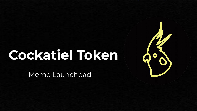# Cockatiel Token

PRODUCT PRODUCT Meme Launchpad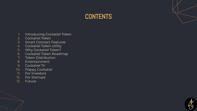## CONTENTS

- 1. Introducing Cockatiel Token
- 2. Cockatiel Token
- 3. Smart Contract Features
- 4. Cockatiel Token Utility
- 5. Why Cockatiel Token?
- 6. Cockatiel Token Roadmap
- 7. Token Distribution
- 8. Entertainment
- 9. Cockatiel TV
- 10. Flappy Cockatiel
- 11. For Investors
- 12. For Startups
- 13. Future

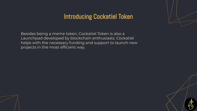### Introducing Cockatiel Token

Besides being a meme token, Cockatiel Token is also a Launchpad developed by blockchain enthusiasts. Cockatiel helps with the necessary funding and support to launch new projects in the most efficient way.

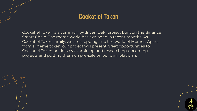#### Cockatiel Token

Cockatiel Token is a community-driven DeFi project built on the Binance Smart Chain. The meme world has exploded in recent months. As Cockatiel Token family, we are stepping into the world of Memes. Apart from a meme token, our project will present great opportunities to Cockatiel Token holders by examining and researching upcoming projects and putting them on pre-sale on our own platform.

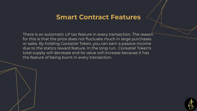#### **Smart Contract Features**

There is an automatic LP tax feature in every transaction. The reason for this is that the price does not fluctuate much in large purchases or sales. By holding Cockatiel Token, you can earn a passive income due to the statics reward feature. In the long run, Cockatiel Token's total supply will decrease and its value will increase because it has the feature of being burnt in every transaction.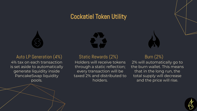#### Cockatiel Token Utility



#### Auto LP Generation (4%) Static Rewards (2%)

4% tax on each transaction is set aside to automatically generate liquidity inside PancakeSwap liquidity pools.



Holders will receive tokens through a static reflection; every transaction will be taxed 2% and distributed to holders.

#### Burn (2%)

2% will automatically go to the burn wallet. This means that in the long run, the total supply will decrease and the price will rise.

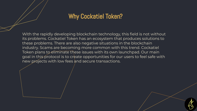### Why Cockatiel Token?

With the rapidly developing blockchain technology, this field is not without its problems. Cockatiel Token has an ecosystem that produces solutions to these problems. There are also negative situations in the blockchain industry. Scams are becoming more common with this trend. Cockatiel Token plans to eliminate these issues with its own launchpad. Our main goal in this protocol is to create opportunities for our users to feel safe with new projects with low fees and secure transactions.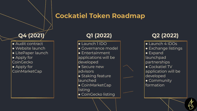### **Cockatiel Token Roadmap**

● Audit contract

- Website launch
- LitePaper launch
- Apply for
- CoinGecko
- Apply for

#### CoinMarketCap

- Launch 1 IDO
- Governance model
- Entertainment
- applications will be
- developed
- **•** Secure new
- advisors
- Staking feature
- launched
- CoinMarketCap
- listing
- CoinGecko listing

#### **Q4 (2021) Q1 (2022) Q2 (2022)**

● Launch 4 IDOs ● Exchange listings ● Expand launchpad partnerships **• Cockatiel TV** application will be developed ● Community formation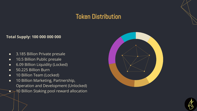### Token Distribution

#### **Total Supply: 100 000 000 000**

- 3.185 Billion Private presale
- 10.5 Billion Public presale
- 6.09 Billion Liquidity (Locked)
- 50.225 Billion Burn
- 10 Billion Team (Locked)
- 10 Billion Marketing, Partnership, Operation and Development (Unlocked)  $\rightarrow$  10 Billion Staking pool reward allocation



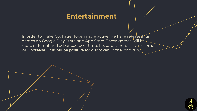### **Entertainment**

In order to make Cockatiel Token more active, we have released fun games on Google Play Store and App Store. These games will be more different and advanced over time. Rewards and passive income will increase. This will be positive for our token in the long run.



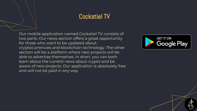### Cockatiel TV

Our mobile application named Cockatiel TV consists of two parts. Our news section offers a great opportunity for those who want to be updated about cryptocurrencies and blockchain technology. The other section will be a platform where new projects will be able to advertise themselves. In short, you can both learn about the current news about crypto and be aware of new projects. Our application is absolutely free and will not be paid in any way.

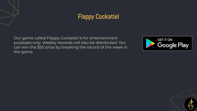# Flappy Cockatiel

Our game called Flappy Cockatiel is for entertainment purposes only. Weekly rewards will also be distributed. You can win the \$50 prize by breaking the record of the week in the game.



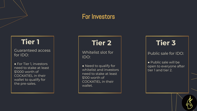#### For Investors

# Tier 1 Tier 2 1 Tier 3

Guaranteed access for IDO:

● For Tier 1, investors need to stake at least \$1000 worth of COCKATIEL in their wallet to qualify for the pre-sales.

Whitelist slot for IDO:

● Need to qualify for whitelist and investors need to stake at least \$100 worth of COCKATIEL in their wallet.

Public sale for IDO:

● Public sale will be open to everyone after tier 1 and tier 2.

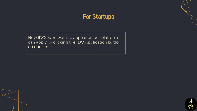### For Startups

New IDOs who want to appear on our platform can apply by clicking the IDO Application button on our site.

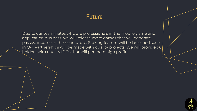### Future

Due to our teammates who are professionals in the mobile game and application business, we will release more games that will generate passive income in the near future. Staking feature will be launched soon in Q4. Partnerships will be made with quality projects. We will provide our holders with quality IDOs that will generate high profits.